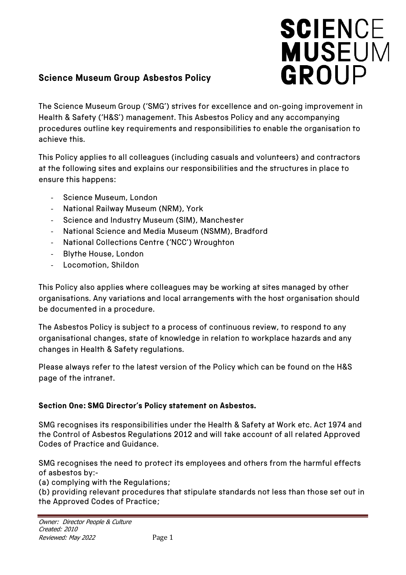# **SCIENCE**<br>**MUSEUM** GROUP

## **Science Museum Group Asbestos Policy**

The Science Museum Group ('SMG') strives for excellence and on-going improvement in Health & Safety ('H&S') management. This Asbestos Policy and any accompanying procedures outline key requirements and responsibilities to enable the organisation to achieve this.

This Policy applies to all colleagues (including casuals and volunteers) and contractors at the following sites and explains our responsibilities and the structures in place to ensure this happens:

- Science Museum, London
- National Railway Museum (NRM), York
- Science and Industry Museum (SIM), Manchester
- National Science and Media Museum (NSMM), Bradford
- National Collections Centre ('NCC') Wroughton
- Blythe House, London
- Locomotion, Shildon

This Policy also applies where colleagues may be working at sites managed by other organisations. Any variations and local arrangements with the host organisation should be documented in a procedure.

The Asbestos Policy is subject to a process of continuous review, to respond to any organisational changes, state of knowledge in relation to workplace hazards and any changes in Health & Safety regulations.

Please always refer to the latest version of the Policy which can be found on the H&S page of the intranet.

#### **Section One: SMG Director's Policy statement on Asbestos.**

SMG recognises its responsibilities under the Health & Safety at Work etc. Act 1974 and the Control of Asbestos Regulations 2012 and will take account of all related Approved Codes of Practice and Guidance.

SMG recognises the need to protect its employees and others from the harmful effects of asbestos by:-

(a) complying with the Regulations;

(b) providing relevant procedures that stipulate standards not less than those set out in the Approved Codes of Practice;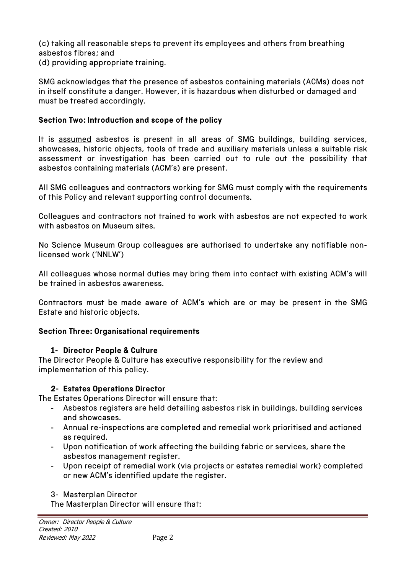(c) taking all reasonable steps to prevent its employees and others from breathing asbestos fibres; and

(d) providing appropriate training.

SMG acknowledges that the presence of asbestos containing materials (ACMs) does not in itself constitute a danger. However, it is hazardous when disturbed or damaged and must be treated accordingly.

### **Section Two: Introduction and scope of the policy**

It is assumed asbestos is present in all areas of SMG buildings, building services, showcases, historic objects, tools of trade and auxiliary materials unless a suitable risk assessment or investigation has been carried out to rule out the possibility that asbestos containing materials (ACM's) are present.

All SMG colleagues and contractors working for SMG must comply with the requirements of this Policy and relevant supporting control documents.

Colleagues and contractors not trained to work with asbestos are not expected to work with asbestos on Museum sites.

No Science Museum Group colleagues are authorised to undertake any notifiable nonlicensed work ('NNLW')

All colleagues whose normal duties may bring them into contact with existing ACM's will be trained in asbestos awareness.

Contractors must be made aware of ACM's which are or may be present in the SMG Estate and historic objects.

#### **Section Three: Organisational requirements**

#### **1- Director People & Culture**

The Director People & Culture has executive responsibility for the review and implementation of this policy.

#### **2- Estates Operations Director**

The Estates Operations Director will ensure that:

- Asbestos registers are held detailing asbestos risk in buildings, building services and showcases.
- Annual re-inspections are completed and remedial work prioritised and actioned as required.
- Upon notification of work affecting the building fabric or services, share the asbestos management register.
- Upon receipt of remedial work (via projects or estates remedial work) completed or new ACM's identified update the register.

#### 3- Masterplan Director

The Masterplan Director will ensure that: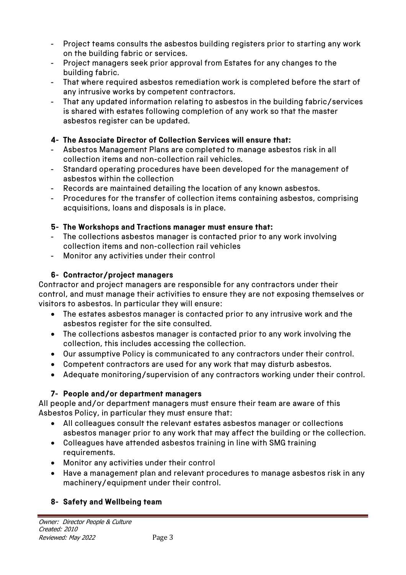- Project teams consults the asbestos building registers prior to starting any work on the building fabric or services.
- Project managers seek prior approval from Estates for any changes to the building fabric.
- That where required asbestos remediation work is completed before the start of any intrusive works by competent contractors.
- That any updated information relating to asbestos in the building fabric/services is shared with estates following completion of any work so that the master asbestos register can be updated.

## **4- The Associate Director of Collection Services will ensure that:**

- Asbestos Management Plans are completed to manage asbestos risk in all collection items and non-collection rail vehicles.
- Standard operating procedures have been developed for the management of asbestos within the collection
- Records are maintained detailing the location of any known asbestos.
- Procedures for the transfer of collection items containing asbestos, comprising acquisitions, loans and disposals is in place.

## **5- The Workshops and Tractions manager must ensure that:**

- The collections asbestos manager is contacted prior to any work involving collection items and non-collection rail vehicles
- Monitor any activities under their control

## **6- Contractor/project managers**

Contractor and project managers are responsible for any contractors under their control, and must manage their activities to ensure they are not exposing themselves or visitors to asbestos. In particular they will ensure:

- The estates asbestos manager is contacted prior to any intrusive work and the asbestos register for the site consulted.
- The collections asbestos manager is contacted prior to any work involving the collection, this includes accessing the collection.
- Our assumptive Policy is communicated to any contractors under their control.
- Competent contractors are used for any work that may disturb asbestos.
- Adequate monitoring/supervision of any contractors working under their control.

## **7- People and/or department managers**

All people and/or department managers must ensure their team are aware of this Asbestos Policy, in particular they must ensure that:

- All colleagues consult the relevant estates asbestos manager or collections asbestos manager prior to any work that may affect the building or the collection.
- Colleagues have attended asbestos training in line with SMG training requirements.
- Monitor any activities under their control
- Have a management plan and relevant procedures to manage asbestos risk in any machinery/equipment under their control.

## **8- Safety and Wellbeing team**